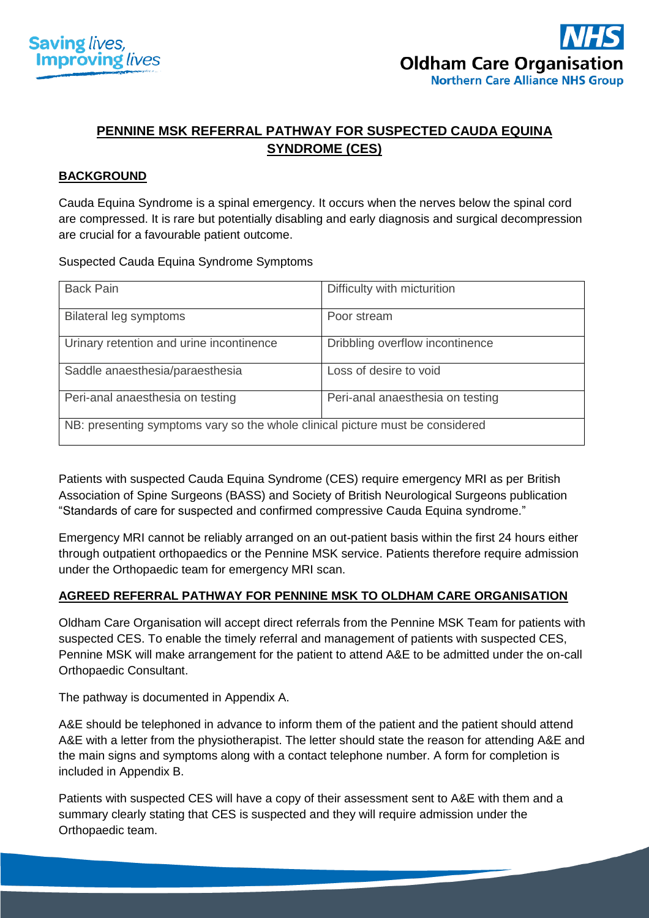



# **PENNINE MSK REFERRAL PATHWAY FOR SUSPECTED CAUDA EQUINA SYNDROME (CES)**

## **BACKGROUND**

Cauda Equina Syndrome is a spinal emergency. It occurs when the nerves below the spinal cord are compressed. It is rare but potentially disabling and early diagnosis and surgical decompression are crucial for a favourable patient outcome.

Suspected Cauda Equina Syndrome Symptoms

| <b>Back Pain</b>                                                              | Difficulty with micturition      |  |  |
|-------------------------------------------------------------------------------|----------------------------------|--|--|
| <b>Bilateral leg symptoms</b>                                                 | Poor stream                      |  |  |
| Urinary retention and urine incontinence                                      | Dribbling overflow incontinence  |  |  |
| Saddle anaesthesia/paraesthesia                                               | Loss of desire to void           |  |  |
| Peri-anal anaesthesia on testing                                              | Peri-anal anaesthesia on testing |  |  |
| NB: presenting symptoms vary so the whole clinical picture must be considered |                                  |  |  |

Patients with suspected Cauda Equina Syndrome (CES) require emergency MRI as per [British](https://www.google.co.uk/search?q=british+association+of+spine+surgeons+society+of+british+neurological+surgeons+standards+of+care+for+suspected+and+confirmed+compressive+cauda+equina+syndrome&spell=1&sa=X&ved=0ahUKEwiamd6SttDaAhXPWsAKHSpyApMQkeECCCQoAA)  [Association of Spine Surgeons \(BASS\) and Society of British Neurological](https://www.google.co.uk/search?q=british+association+of+spine+surgeons+society+of+british+neurological+surgeons+standards+of+care+for+suspected+and+confirmed+compressive+cauda+equina+syndrome&spell=1&sa=X&ved=0ahUKEwiamd6SttDaAhXPWsAKHSpyApMQkeECCCQoAA) Surgeons publication ["Standards of care for suspected and confirmed compressive Cauda Equina syndrome.](https://www.google.co.uk/search?q=british+association+of+spine+surgeons+society+of+british+neurological+surgeons+standards+of+care+for+suspected+and+confirmed+compressive+cauda+equina+syndrome&spell=1&sa=X&ved=0ahUKEwiamd6SttDaAhXPWsAKHSpyApMQkeECCCQoAA)"

Emergency MRI cannot be reliably arranged on an out-patient basis within the first 24 hours either through outpatient orthopaedics or the Pennine MSK service. Patients therefore require admission under the Orthopaedic team for emergency MRI scan.

## **AGREED REFERRAL PATHWAY FOR PENNINE MSK TO OLDHAM CARE ORGANISATION**

Oldham Care Organisation will accept direct referrals from the Pennine MSK Team for patients with suspected CES. To enable the timely referral and management of patients with suspected CES, Pennine MSK will make arrangement for the patient to attend A&E to be admitted under the on-call Orthopaedic Consultant.

The pathway is documented in Appendix A.

A&E should be telephoned in advance to inform them of the patient and the patient should attend A&E with a letter from the physiotherapist. The letter should state the reason for attending A&E and the main signs and symptoms along with a contact telephone number. A form for completion is included in Appendix B.

Patients with suspected CES will have a copy of their assessment sent to A&E with them and a summary clearly stating that CES is suspected and they will require admission under the Orthopaedic team.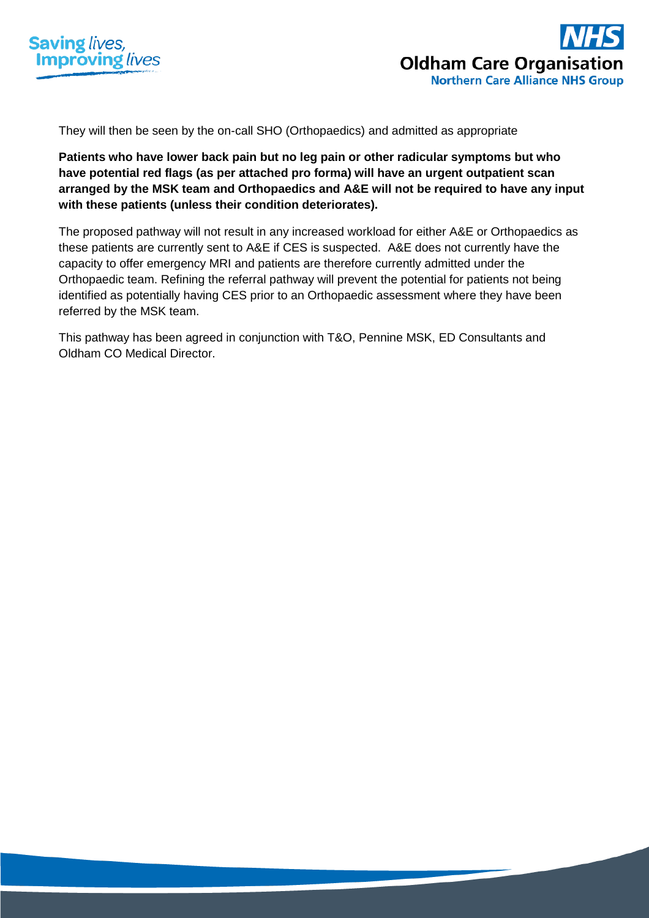



They will then be seen by the on-call SHO (Orthopaedics) and admitted as appropriate

**Patients who have lower back pain but no leg pain or other radicular symptoms but who have potential red flags (as per attached pro forma) will have an urgent outpatient scan arranged by the MSK team and Orthopaedics and A&E will not be required to have any input with these patients (unless their condition deteriorates).**

The proposed pathway will not result in any increased workload for either A&E or Orthopaedics as these patients are currently sent to A&E if CES is suspected. A&E does not currently have the capacity to offer emergency MRI and patients are therefore currently admitted under the Orthopaedic team. Refining the referral pathway will prevent the potential for patients not being identified as potentially having CES prior to an Orthopaedic assessment where they have been referred by the MSK team.

This pathway has been agreed in conjunction with T&O, Pennine MSK, ED Consultants and Oldham CO Medical Director.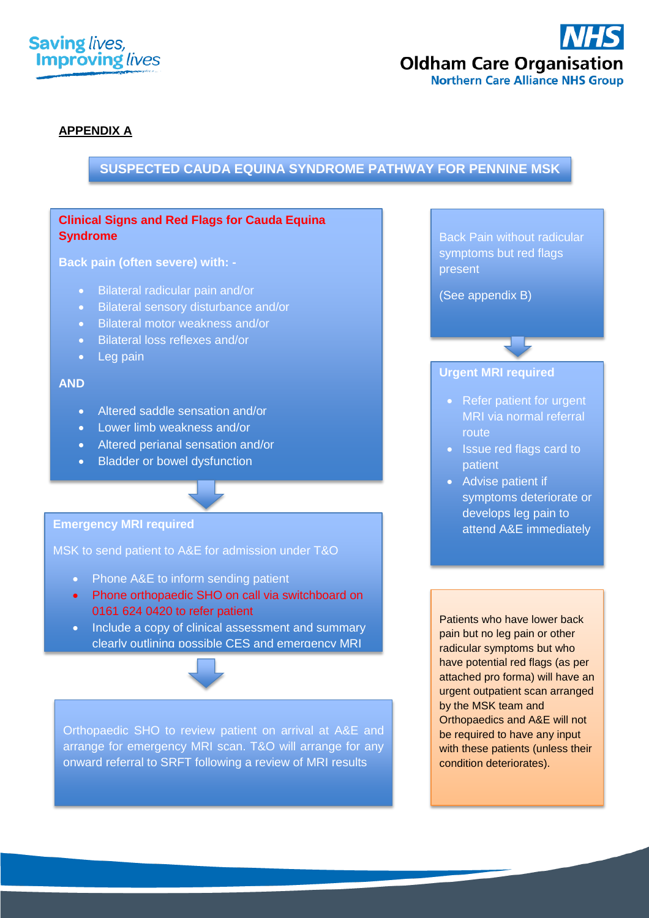



## **APPENDIX A**

## **SUSPECTED CAUDA EQUINA SYNDROME PATHWAY FOR PENNINE MSK**

## **Clinical Signs and Red Flags for Cauda Equina Syndrome**

**Back pain (often severe) with: -**

- Bilateral radicular pain and/or
- Bilateral sensory disturbance and/or
- Bilateral motor weakness and/or
- Bilateral loss reflexes and/or
- Leg pain

#### **AND**

- Altered saddle sensation and/or
- Lower limb weakness and/or
- Altered perianal sensation and/or
- Bladder or bowel dysfunction

#### **Emergency MRI required**

MSK to send patient to A&E for admission under T&O

- Phone A&E to inform sending patient
- Phone orthopaedic SHO on call via switchboard on 0161 624 0420 to refer patient
- Include a copy of clinical assessment and summary clearly outlining possible CES and emergency MRI



Orthopaedic SHO to review patient on arrival at A&E and arrange for emergency MRI scan. T&O will arrange for any onward referral to SRFT following a review of MRI results

Patients who have lower back pain but no leg pain or other radicular symptoms but who have potential red flags (as per attached pro forma) will have an urgent outpatient scan arranged by the MSK team and Orthopaedics and A&E will not be required to have any input with these patients (unless their condition deteriorates).

Back Pain without radicular symptoms but red flags present

(See appendix B)

## **Urgent MRI required**

- Refer patient for urgent MRI via normal referral route
- Issue red flags card to patient
- Advise patient if symptoms deteriorate or develops leg pain to attend A&E immediately